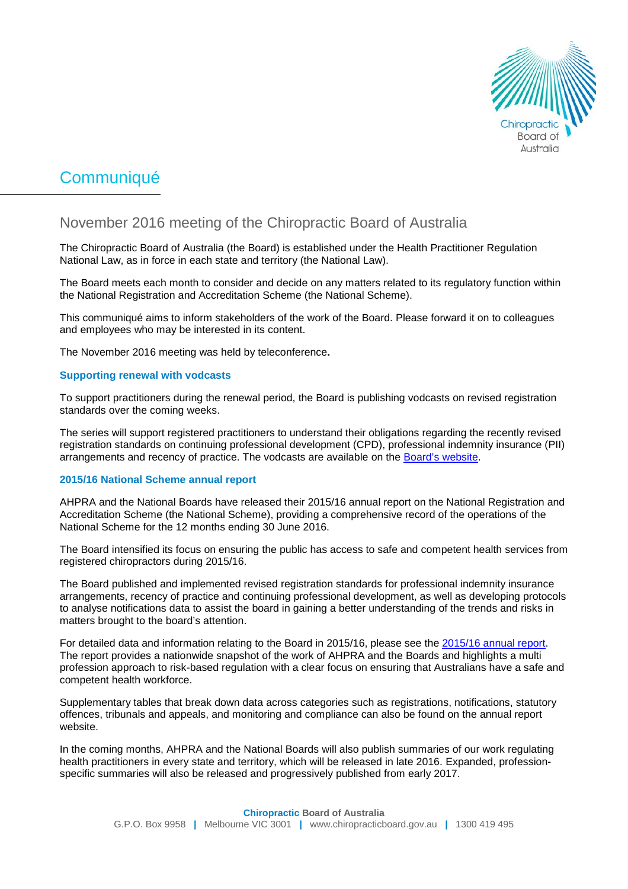

# Communiqué

# November 2016 meeting of the Chiropractic Board of Australia

The Chiropractic Board of Australia (the Board) is established under the Health Practitioner Regulation National Law, as in force in each state and territory (the National Law).

The Board meets each month to consider and decide on any matters related to its regulatory function within the National Registration and Accreditation Scheme (the National Scheme).

This communiqué aims to inform stakeholders of the work of the Board. Please forward it on to colleagues and employees who may be interested in its content.

The November 2016 meeting was held by teleconference**.**

## **Supporting renewal with vodcasts**

To support practitioners during the renewal period, the Board is publishing vodcasts on revised registration standards over the coming weeks.

The series will support registered practitioners to understand their obligations regarding the recently revised registration standards on continuing professional development (CPD), professional indemnity insurance (PII) arrangements and recency of practice. The vodcasts are available on the [Board's website.](http://www.chiropracticboard.gov.au/News/2016-11-23-vodcast.aspx)

#### **2015/16 National Scheme annual report**

AHPRA and the National Boards have released their 2015/16 annual report on the National Registration and Accreditation Scheme (the National Scheme), providing a comprehensive record of the operations of the National Scheme for the 12 months ending 30 June 2016.

The Board intensified its focus on ensuring the public has access to safe and competent health services from registered chiropractors during 2015/16.

The Board published and implemented revised registration standards for professional indemnity insurance arrangements, recency of practice and continuing professional development, as well as developing protocols to analyse notifications data to assist the board in gaining a better understanding of the trends and risks in matters brought to the board's attention.

For detailed data and information relating to the Board in 2015/16, please see the [2015/16 annual report.](http://www.ahpra.gov.au/annualreport/2016/) The report provides a nationwide snapshot of the work of AHPRA and the Boards and highlights a multi profession approach to risk-based regulation with a clear focus on ensuring that Australians have a safe and competent health workforce.

Supplementary tables that break down data across categories such as registrations, notifications, statutory offences, tribunals and appeals, and monitoring and compliance can also be found on the annual report website.

In the coming months, AHPRA and the National Boards will also publish summaries of our work regulating health practitioners in every state and territory, which will be released in late 2016. Expanded, professionspecific summaries will also be released and progressively published from early 2017.